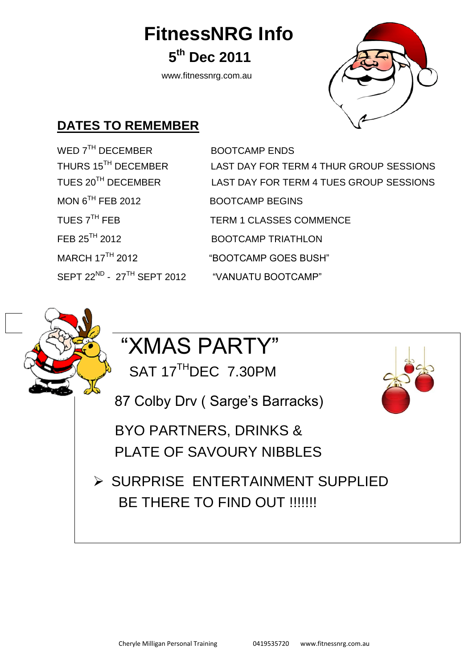**FitnessNRG Info**

**th Dec 2011**

www.fitnessnrg.com.au



#### **DATES TO REMEMBER**

**5** 

WED 7<sup>TH</sup> DECEMBER BOOTCAMP ENDS MON 6TH FEB 2012 FEB 25<sup>TH</sup> 2012 BOOTCAMP TRIATHLON MARCH 17<sup>TH</sup> 2012 "BOOTCAMP GOES BUSH"  $S$ FPT 22<sup>ND</sup> - 27<sup>TH</sup> SFPT 2012

THURS 15TH DECEMBER LAST DAY FOR TERM 4 THUR GROUP SESSIONS TUES 20TH DECEMBER LAST DAY FOR TERM 4 TUES GROUP SESSIONS BOOTCAMP BEGINS TUES 7<sup>TH</sup> FEB TERM 1 CLASSES COMMENCE "VANUATU BOOTCAMP"

## "XMAS PARTY"

SAT 17<sup>TH</sup>DEC 7.30PM

87 Colby Drv ( Sarge's Barracks[\)](http://www.christmas-graphics-plus.com/free/santa-clipart.html#graphics)

[BYO PARTNERS,](http://www.christmas-graphics-plus.com/free/santa-clipart.html#graphics) DRINKS & PLATE OF SAVOURY NIBBLES

 $\triangleright$  SURPRISE ENTERTAINMENT SUPPLIED BE THERE TO FIND OUT !!!!!!!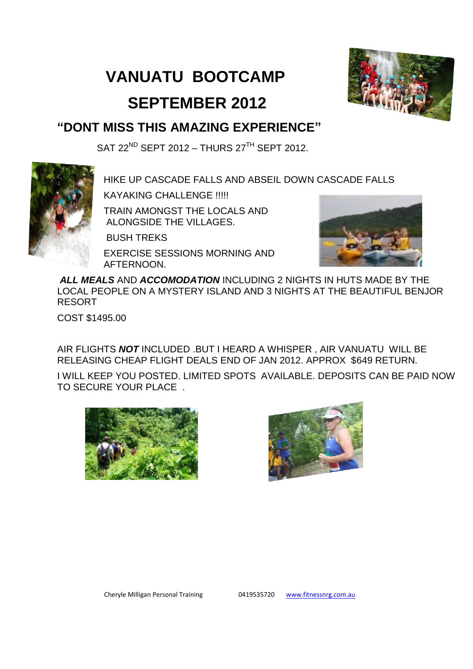#### **VANUATU BOOTCAMP**



#### **SEPTEMBER 2012**

#### **"DONT MISS THIS AMAZING EXPERIENCE"**

SAT 22<sup>ND</sup> SEPT 2012 – THURS 27<sup>TH</sup> SEPT 2012.



HIKE UP CASCADE FALLS AND ABSEIL DOWN CASCADE FALLS

KAYAKING CHALLENGE !!!!!

TRAIN AMONGST THE LOCALS AND ALONGSIDE THE VILLAGES.

BUSH TREKS

EXERCISE SESSIONS MORNING AND AFTERNOON.



*ALL MEALS* AND *ACCOMODATION* INCLUDING 2 NIGHTS IN HUTS MADE BY THE LOCAL PEOPLE ON A MYSTERY ISLAND AND 3 NIGHTS AT THE BEAUTIFUL BENJOR RESORT

COST \$1495.00

AIR FLIGHTS *NOT* INCLUDED .BUT I HEARD A WHISPER , AIR VANUATU WILL BE RELEASING CHEAP FLIGHT DEALS END OF JAN 2012. APPROX \$649 RETURN.

I WILL KEEP YOU POSTED. LIMITED SPOTS AVAILABLE. DEPOSITS CAN BE PAID NOW TO SECURE YOUR PLACE .





Cheryle Milligan Personal Training 0419535720 [www.fitnessnrg.com.au](http://www.fitnessnrg.com.au/)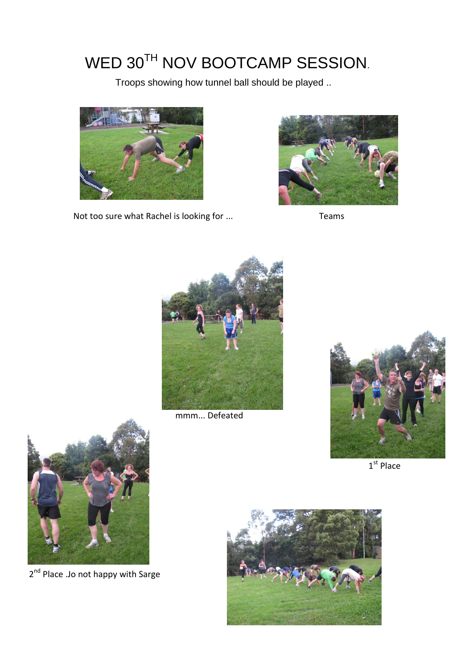### WED 30TH NOV BOOTCAMP SESSION.

Troops showing how tunnel ball should be played ..



Not too sure what Rachel is looking for ... Teams





mmm... Defeated



 $1<sup>st</sup>$  Place



2<sup>nd</sup> Place .Jo not happy with Sarge